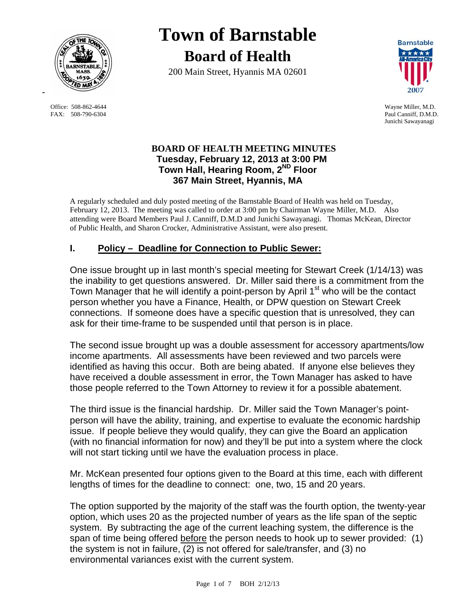

FAX: 508-790-6304 Paul Canniff, D.M.D.

# **Town of Barnstable Board of Health**

200 Main Street, Hyannis MA 02601



 Office: 508-862-4644 Wayne Miller, M.D. Junichi Sawayanagi

# **BOARD OF HEALTH MEETING MINUTES Tuesday, February 12, 2013 at 3:00 PM Town Hall, Hearing Room, 2ND Floor 367 Main Street, Hyannis, MA**

A regularly scheduled and duly posted meeting of the Barnstable Board of Health was held on Tuesday, February 12, 2013. The meeting was called to order at 3:00 pm by Chairman Wayne Miller, M.D. Also attending were Board Members Paul J. Canniff, D.M.D and Junichi Sawayanagi. Thomas McKean, Director of Public Health, and Sharon Crocker, Administrative Assistant, were also present.

# **I. Policy – Deadline for Connection to Public Sewer:**

One issue brought up in last month's special meeting for Stewart Creek (1/14/13) was the inability to get questions answered. Dr. Miller said there is a commitment from the Town Manager that he will identify a point-person by April 1<sup>st</sup> who will be the contact person whether you have a Finance, Health, or DPW question on Stewart Creek connections. If someone does have a specific question that is unresolved, they can ask for their time-frame to be suspended until that person is in place.

The second issue brought up was a double assessment for accessory apartments/low income apartments. All assessments have been reviewed and two parcels were identified as having this occur. Both are being abated. If anyone else believes they have received a double assessment in error, the Town Manager has asked to have those people referred to the Town Attorney to review it for a possible abatement.

The third issue is the financial hardship. Dr. Miller said the Town Manager's pointperson will have the ability, training, and expertise to evaluate the economic hardship issue. If people believe they would qualify, they can give the Board an application (with no financial information for now) and they'll be put into a system where the clock will not start ticking until we have the evaluation process in place.

Mr. McKean presented four options given to the Board at this time, each with different lengths of times for the deadline to connect: one, two, 15 and 20 years.

The option supported by the majority of the staff was the fourth option, the twenty-year option, which uses 20 as the projected number of years as the life span of the septic system. By subtracting the age of the current leaching system, the difference is the span of time being offered before the person needs to hook up to sewer provided: (1) the system is not in failure, (2) is not offered for sale/transfer, and (3) no environmental variances exist with the current system.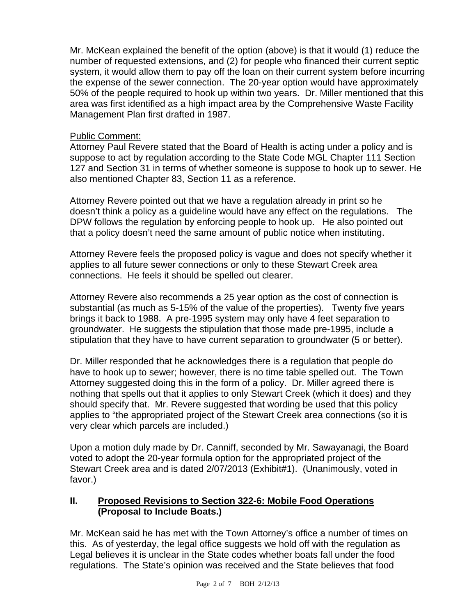Mr. McKean explained the benefit of the option (above) is that it would (1) reduce the number of requested extensions, and (2) for people who financed their current septic system, it would allow them to pay off the loan on their current system before incurring the expense of the sewer connection. The 20-year option would have approximately 50% of the people required to hook up within two years. Dr. Miller mentioned that this area was first identified as a high impact area by the Comprehensive Waste Facility Management Plan first drafted in 1987.

## Public Comment:

Attorney Paul Revere stated that the Board of Health is acting under a policy and is suppose to act by regulation according to the State Code MGL Chapter 111 Section 127 and Section 31 in terms of whether someone is suppose to hook up to sewer. He also mentioned Chapter 83, Section 11 as a reference.

Attorney Revere pointed out that we have a regulation already in print so he doesn't think a policy as a guideline would have any effect on the regulations. The DPW follows the regulation by enforcing people to hook up. He also pointed out that a policy doesn't need the same amount of public notice when instituting.

Attorney Revere feels the proposed policy is vague and does not specify whether it applies to all future sewer connections or only to these Stewart Creek area connections. He feels it should be spelled out clearer.

Attorney Revere also recommends a 25 year option as the cost of connection is substantial (as much as 5-15% of the value of the properties). Twenty five years brings it back to 1988. A pre-1995 system may only have 4 feet separation to groundwater. He suggests the stipulation that those made pre-1995, include a stipulation that they have to have current separation to groundwater (5 or better).

Dr. Miller responded that he acknowledges there is a regulation that people do have to hook up to sewer; however, there is no time table spelled out. The Town Attorney suggested doing this in the form of a policy. Dr. Miller agreed there is nothing that spells out that it applies to only Stewart Creek (which it does) and they should specify that. Mr. Revere suggested that wording be used that this policy applies to "the appropriated project of the Stewart Creek area connections (so it is very clear which parcels are included.)

Upon a motion duly made by Dr. Canniff, seconded by Mr. Sawayanagi, the Board voted to adopt the 20-year formula option for the appropriated project of the Stewart Creek area and is dated 2/07/2013 (Exhibit#1). (Unanimously, voted in favor.)

# **II. Proposed Revisions to Section 322-6: Mobile Food Operations (Proposal to Include Boats.)**

Mr. McKean said he has met with the Town Attorney's office a number of times on this. As of yesterday, the legal office suggests we hold off with the regulation as Legal believes it is unclear in the State codes whether boats fall under the food regulations. The State's opinion was received and the State believes that food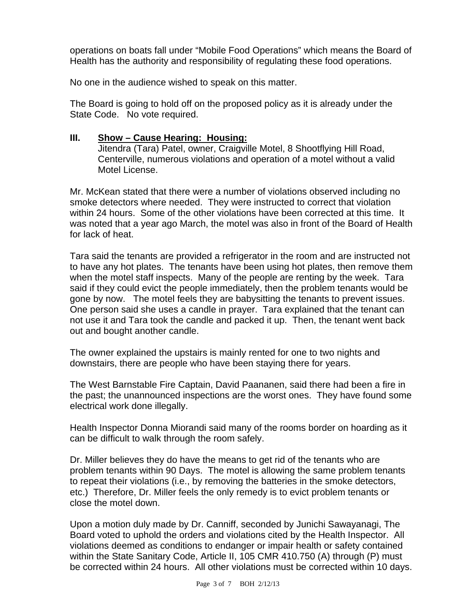operations on boats fall under "Mobile Food Operations" which means the Board of Health has the authority and responsibility of regulating these food operations.

No one in the audience wished to speak on this matter.

The Board is going to hold off on the proposed policy as it is already under the State Code. No vote required.

#### **III. Show – Cause Hearing: Housing:**

Jitendra (Tara) Patel, owner, Craigville Motel, 8 Shootflying Hill Road, Centerville, numerous violations and operation of a motel without a valid Motel License.

Mr. McKean stated that there were a number of violations observed including no smoke detectors where needed. They were instructed to correct that violation within 24 hours. Some of the other violations have been corrected at this time. It was noted that a year ago March, the motel was also in front of the Board of Health for lack of heat.

Tara said the tenants are provided a refrigerator in the room and are instructed not to have any hot plates. The tenants have been using hot plates, then remove them when the motel staff inspects. Many of the people are renting by the week. Tara said if they could evict the people immediately, then the problem tenants would be gone by now. The motel feels they are babysitting the tenants to prevent issues. One person said she uses a candle in prayer. Tara explained that the tenant can not use it and Tara took the candle and packed it up. Then, the tenant went back out and bought another candle.

The owner explained the upstairs is mainly rented for one to two nights and downstairs, there are people who have been staying there for years.

The West Barnstable Fire Captain, David Paananen, said there had been a fire in the past; the unannounced inspections are the worst ones. They have found some electrical work done illegally.

Health Inspector Donna Miorandi said many of the rooms border on hoarding as it can be difficult to walk through the room safely.

Dr. Miller believes they do have the means to get rid of the tenants who are problem tenants within 90 Days. The motel is allowing the same problem tenants to repeat their violations (i.e., by removing the batteries in the smoke detectors, etc.) Therefore, Dr. Miller feels the only remedy is to evict problem tenants or close the motel down.

Upon a motion duly made by Dr. Canniff, seconded by Junichi Sawayanagi, The Board voted to uphold the orders and violations cited by the Health Inspector. All violations deemed as conditions to endanger or impair health or safety contained within the State Sanitary Code, Article II, 105 CMR 410.750 (A) through (P) must be corrected within 24 hours. All other violations must be corrected within 10 days.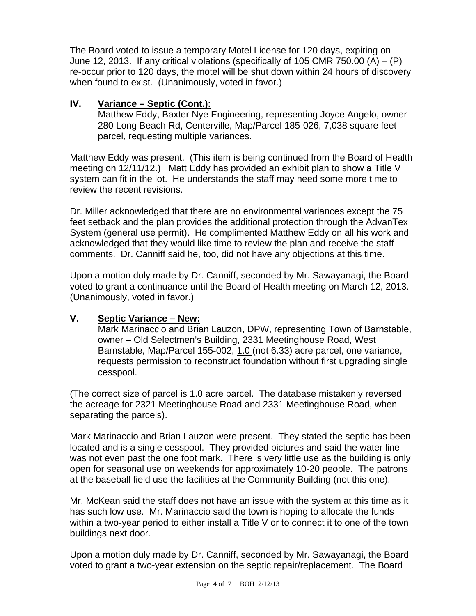The Board voted to issue a temporary Motel License for 120 days, expiring on June 12, 2013. If any critical violations (specifically of 105 CMR 750.00  $(A) - (P)$ ) re-occur prior to 120 days, the motel will be shut down within 24 hours of discovery when found to exist. (Unanimously, voted in favor.)

# **IV. Variance – Septic (Cont.):**

Matthew Eddy, Baxter Nye Engineering, representing Joyce Angelo, owner - 280 Long Beach Rd, Centerville, Map/Parcel 185-026, 7,038 square feet parcel, requesting multiple variances.

Matthew Eddy was present. (This item is being continued from the Board of Health meeting on 12/11/12.) Matt Eddy has provided an exhibit plan to show a Title V system can fit in the lot. He understands the staff may need some more time to review the recent revisions.

Dr. Miller acknowledged that there are no environmental variances except the 75 feet setback and the plan provides the additional protection through the AdvanTex System (general use permit). He complimented Matthew Eddy on all his work and acknowledged that they would like time to review the plan and receive the staff comments. Dr. Canniff said he, too, did not have any objections at this time.

Upon a motion duly made by Dr. Canniff, seconded by Mr. Sawayanagi, the Board voted to grant a continuance until the Board of Health meeting on March 12, 2013. (Unanimously, voted in favor.)

#### **V. Septic Variance – New:**

Mark Marinaccio and Brian Lauzon, DPW, representing Town of Barnstable, owner – Old Selectmen's Building, 2331 Meetinghouse Road, West Barnstable, Map/Parcel 155-002, 1.0 (not 6.33) acre parcel, one variance, requests permission to reconstruct foundation without first upgrading single cesspool.

(The correct size of parcel is 1.0 acre parcel. The database mistakenly reversed the acreage for 2321 Meetinghouse Road and 2331 Meetinghouse Road, when separating the parcels).

Mark Marinaccio and Brian Lauzon were present. They stated the septic has been located and is a single cesspool. They provided pictures and said the water line was not even past the one foot mark. There is very little use as the building is only open for seasonal use on weekends for approximately 10-20 people. The patrons at the baseball field use the facilities at the Community Building (not this one).

Mr. McKean said the staff does not have an issue with the system at this time as it has such low use. Mr. Marinaccio said the town is hoping to allocate the funds within a two-year period to either install a Title V or to connect it to one of the town buildings next door.

Upon a motion duly made by Dr. Canniff, seconded by Mr. Sawayanagi, the Board voted to grant a two-year extension on the septic repair/replacement. The Board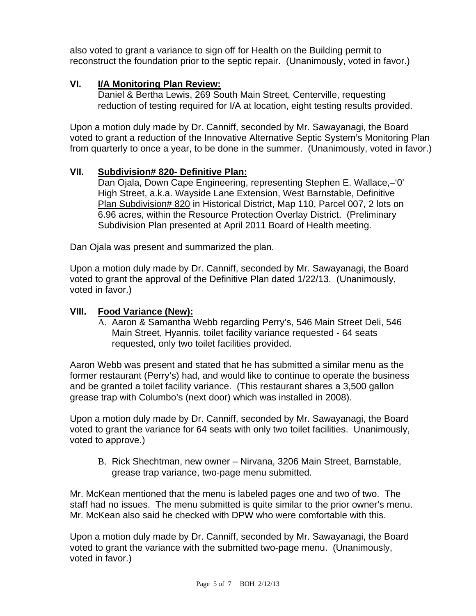also voted to grant a variance to sign off for Health on the Building permit to reconstruct the foundation prior to the septic repair. (Unanimously, voted in favor.)

## **VI. I/A Monitoring Plan Review:**

Daniel & Bertha Lewis, 269 South Main Street, Centerville, requesting reduction of testing required for I/A at location, eight testing results provided.

Upon a motion duly made by Dr. Canniff, seconded by Mr. Sawayanagi, the Board voted to grant a reduction of the Innovative Alternative Septic System's Monitoring Plan from quarterly to once a year, to be done in the summer. (Unanimously, voted in favor.)

#### **VII. Subdivision# 820- Definitive Plan:**

Dan Ojala, Down Cape Engineering, representing Stephen E. Wallace,–'0' High Street, a.k.a. Wayside Lane Extension, West Barnstable, Definitive Plan Subdivision# 820 in Historical District, Map 110, Parcel 007, 2 lots on 6.96 acres, within the Resource Protection Overlay District. (Preliminary Subdivision Plan presented at April 2011 Board of Health meeting.

Dan Ojala was present and summarized the plan.

Upon a motion duly made by Dr. Canniff, seconded by Mr. Sawayanagi, the Board voted to grant the approval of the Definitive Plan dated 1/22/13. (Unanimously, voted in favor.)

#### **VIII. Food Variance (New):**

A. Aaron & Samantha Webb regarding Perry's, 546 Main Street Deli, 546 Main Street, Hyannis. toilet facility variance requested - 64 seats requested, only two toilet facilities provided.

Aaron Webb was present and stated that he has submitted a similar menu as the former restaurant (Perry's) had, and would like to continue to operate the business and be granted a toilet facility variance. (This restaurant shares a 3,500 gallon grease trap with Columbo's (next door) which was installed in 2008).

Upon a motion duly made by Dr. Canniff, seconded by Mr. Sawayanagi, the Board voted to grant the variance for 64 seats with only two toilet facilities. Unanimously, voted to approve.)

B. Rick Shechtman, new owner – Nirvana, 3206 Main Street, Barnstable, grease trap variance, two-page menu submitted.

Mr. McKean mentioned that the menu is labeled pages one and two of two. The staff had no issues. The menu submitted is quite similar to the prior owner's menu. Mr. McKean also said he checked with DPW who were comfortable with this.

Upon a motion duly made by Dr. Canniff, seconded by Mr. Sawayanagi, the Board voted to grant the variance with the submitted two-page menu. (Unanimously, voted in favor.)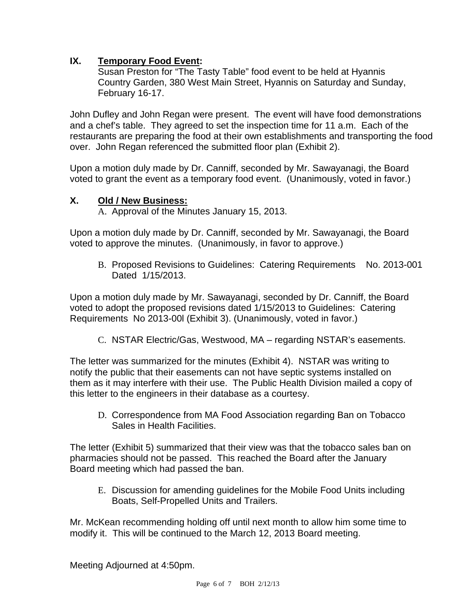# **IX. Temporary Food Event:**

Susan Preston for "The Tasty Table" food event to be held at Hyannis Country Garden, 380 West Main Street, Hyannis on Saturday and Sunday, February 16-17.

John Dufley and John Regan were present. The event will have food demonstrations and a chef's table. They agreed to set the inspection time for 11 a.m. Each of the restaurants are preparing the food at their own establishments and transporting the food over. John Regan referenced the submitted floor plan (Exhibit 2).

Upon a motion duly made by Dr. Canniff, seconded by Mr. Sawayanagi, the Board voted to grant the event as a temporary food event. (Unanimously, voted in favor.)

# **X. Old / New Business:**

A. Approval of the Minutes January 15, 2013.

Upon a motion duly made by Dr. Canniff, seconded by Mr. Sawayanagi, the Board voted to approve the minutes. (Unanimously, in favor to approve.)

B. Proposed Revisions to Guidelines: Catering Requirements No. 2013-001 Dated 1/15/2013.

Upon a motion duly made by Mr. Sawayanagi, seconded by Dr. Canniff, the Board voted to adopt the proposed revisions dated 1/15/2013 to Guidelines: Catering Requirements No 2013-00l (Exhibit 3). (Unanimously, voted in favor.)

C. NSTAR Electric/Gas, Westwood, MA – regarding NSTAR's easements.

The letter was summarized for the minutes (Exhibit 4). NSTAR was writing to notify the public that their easements can not have septic systems installed on them as it may interfere with their use. The Public Health Division mailed a copy of this letter to the engineers in their database as a courtesy.

D. Correspondence from MA Food Association regarding Ban on Tobacco Sales in Health Facilities.

The letter (Exhibit 5) summarized that their view was that the tobacco sales ban on pharmacies should not be passed. This reached the Board after the January Board meeting which had passed the ban.

E. Discussion for amending guidelines for the Mobile Food Units including Boats, Self-Propelled Units and Trailers.

Mr. McKean recommending holding off until next month to allow him some time to modify it. This will be continued to the March 12, 2013 Board meeting.

Meeting Adjourned at 4:50pm.